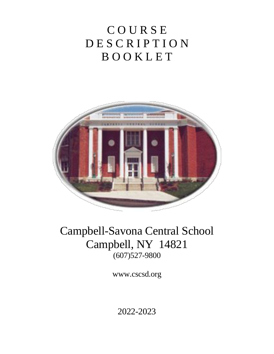# **COURSE** <sup>4</sup> D E S C R I P T I O N <sup>5</sup> B O O K L E T



## Campbell-Savona Central School Campbell, NY 14821  $(607)527-9800$

www.cscsd.org

<sup>22</sup> 2022-2023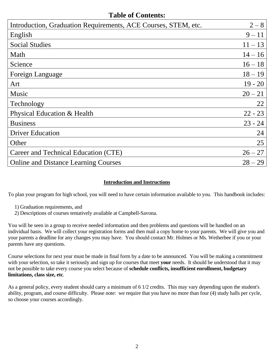## **Table of Contents:**

| Introduction, Graduation Requirements, ACE Courses, STEM, etc. | $2 - 8$   |
|----------------------------------------------------------------|-----------|
| English                                                        | $9 - 11$  |
| <b>Social Studies</b>                                          | $11 - 13$ |
| Math                                                           | $14 - 16$ |
| Science                                                        | $16 - 18$ |
| Foreign Language                                               | $18 - 19$ |
| Art                                                            | $19 - 20$ |
| Music                                                          | $20 - 21$ |
| Technology                                                     | 22        |
| Physical Education & Health                                    | $22 - 23$ |
| <b>Business</b>                                                | $23 - 24$ |
| <b>Driver Education</b>                                        | 24        |
| Other                                                          | 25        |
| Career and Technical Education (CTE)                           | $26 - 27$ |
| <b>Online and Distance Learning Courses</b>                    | $28 - 29$ |
|                                                                |           |

### **Introduction and Instructions**

31 To plan your program for high school, you will need to have certain information available to you. This handbook includes:

- 33 1) Graduation requirements, and
- 34 2) Descriptions of courses tentatively available at Campbell-Savona.

36 You will be seen in a group to receive needed information and then problems and questions will be handled on an individual basis. We will collect your registration forms and then mail a copy home to your parents. We will give you and your parents a deadline for any changes you may have. You should contact Mr. Holmes or Ms. Wetherbee if you or your parents have any questions.

Course selections for next year must be made in final form by a date to be announced. You will be making a commitment with your selection, so take it seriously and sign up for courses that meet **your** needs. It should be understood that it may 43 not be possible to take every course you select because of **schedule conflicts, insufficient enrollment, budgetary**  44 **limitations, class size, etc**.

As a general policy, every student should carry a minimum of 6 1/2 credits. This may vary depending upon the student's ability, program, and course difficulty. Please note: we require that you have no more than four (4) study halls per cycle, so choose your courses accordingly.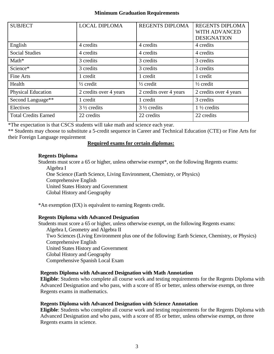#### **Minimum Graduation Requirements**

| <b>SUBJECT</b>              | <b>LOCAL DIPLOMA</b>   | <b>REGENTS DIPLOMA</b> | <b>REGENTS DIPLOMA</b><br>WITH ADVANCED<br><b>DESIGNATION</b> |
|-----------------------------|------------------------|------------------------|---------------------------------------------------------------|
| English                     | 4 credits              | 4 credits              | 4 credits                                                     |
| <b>Social Studies</b>       | 4 credits              | 4 credits              | 4 credits                                                     |
| $Math*$                     | 3 credits              | 3 credits              | 3 credits                                                     |
| Science*                    | 3 credits              | 3 credits              | 3 credits                                                     |
| Fine Arts                   | 1 credit               | 1 credit               | 1 credit                                                      |
| Health                      | $\frac{1}{2}$ credit   | $\frac{1}{2}$ credit   | $\frac{1}{2}$ credit                                          |
| <b>Physical Education</b>   | 2 credits over 4 years | 2 credits over 4 years | 2 credits over 4 years                                        |
| Second Language**           | 1 credit               | 1 credit               | 3 credits                                                     |
| Electives                   | $3\frac{1}{2}$ credits | $3\frac{1}{2}$ credits | $1\frac{1}{2}$ credits                                        |
| <b>Total Credits Earned</b> | 22 credits             | 22 credits             | 22 credits                                                    |

\*The expectation is that CSCS students will take math and science each year.

\*\* Students may choose to substitute a 5-credit sequence in Career and Technical Education (CTE) or Fine Arts for their Foreign Language requirement

#### 55 **Required exams for certain diplomas:**

#### 57 **Regents Diploma**

Students must score a 65 or higher, unless otherwise exempt\*, on the following Regents exams: Algebra I

60 One Science (Earth Science, Living Environment, Chemistry, or Physics) Comprehensive English United States History and Government

Global History and Geography

\*An exemption (EX) is equivalent to earning Regents credit.

#### 67 **Regents Diploma with Advanced Designation**

Students must score a 65 or higher, unless otherwise exempt, on the following Regents exams: Algebra I, Geometry and Algebra II Two Sciences (Living Environment plus one of the following: Earth Science, Chemistry, or Physics) Comprehensive English United States History and Government Global History and Geography Comprehensive Spanish Local Exam

#### 76 **Regents Diploma with Advanced Designation with Math Annotation**

**Eligible**: Students who complete all course work and testing requirements for the Regents Diploma with Advanced Designation and who pass, with a score of 85 or better, unless otherwise exempt, on three Regents exams in mathematics.

#### 81 **Regents Diploma with Advanced Designation with Science Annotation**

**Eligible**: Students who complete all course work and testing requirements for the Regents Diploma with Advanced Designation and who pass, with a score of 85 or better, unless otherwise exempt, on three Regents exams in science.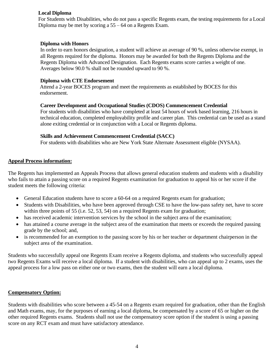#### 87 **Local Diploma**

88 For Students with Disabilities, who do not pass a specific Regents exam, the testing requirements for a Local Diploma may be met by scoring a  $55 - 64$  on a Regents Exam.

#### **Diploma with Honors**

In order to earn honors designation, a student will achieve an average of 90 %, unless otherwise exempt, in 94 all Regents required for the diploma. Honors may be awarded for both the Regents Diploma and the Regents Diploma with Advanced Designation. Each Regents exams score carries a weight of one. Averages below 90.0 % shall not be rounded upward to 90 %.

#### 98 **Diploma with CTE Endorsement**

Attend a 2-year BOCES program and meet the requirements as established by BOCES for this endorsement.

#### **Career Development and Occupational Studies (CDOS) Commencement Credential**

For students with disabilities who have completed at least 54 hours of work based learning, 216 hours in technical education, completed employability profile and career plan. This credential can be used as a stand alone exiting credential or in conjunction with a Local or Regents diploma.

#### **Skills and Achievement Commencement Credential (SACC)**

For students with disabilities who are New York State Alternate Assessment eligible (NYSAA).

#### **Appeal Process information:**

The Regents has implemented an Appeals Process that allows general education students and students with a disability who fails to attain a passing score on a required Regents examination for graduation to appeal his or her score if the student meets the following criteria:

- General Education students have to score a 60-64 on a required Regents exam for graduation;
- Students with Disabilities, who have been approved through CSE to have the low-pass safety net, have to score within three points of 55 (i.e.  $52$ ,  $53$ ,  $54$ ) on a required Regents exam for graduation;
- has received academic intervention services by the school in the subject area of the examination;
- has attained a course average in the subject area of the examination that meets or exceeds the required passing grade by the school; and,
- is recommended for an exemption to the passing score by his or her teacher or department chairperson in the subject area of the examination.

Students who successfully appeal one Regents Exam receive a Regents diploma, and students who successfully appeal two Regents Exams will receive a local diploma. If a student with disabilities, who can appeal up to 2 exams, uses the appeal process for a low pass on either one or two exams, then the student will earn a local diploma.

#### **Compensatory Option:**

Students with disabilities who score between a 45-54 on a Regents exam required for graduation, other than the English and Math exams, may, for the purposes of earning a local diploma, be compensated by a score of 65 or higher on the other required Regents exams. Students shall not use the compensatory score option if the student is using a passing score on any RCT exam and must have satisfactory attendance.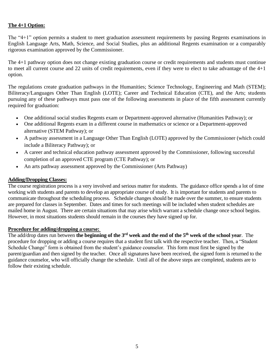#### The 4+1 Option:

The "4+1" option permits a student to meet graduation assessment requirements by passing Regents examinations in English Language Arts, Math, Science, and Social Studies, plus an additional Regents examination or a comparably rigorous examination approved by the Commissioner.

The 4+1 pathway option does not change existing graduation course or credit requirements and students must continue to meet all current course and 22 units of credit requirements, even if they were to elect to take advantage of the  $4+1$ option.

The regulations create graduation pathways in the Humanities; Science Technology, Engineering and Math (STEM); Biliteracy/Languages Other Than English (LOTE); Career and Technical Education (CTE), and the Arts; students pursuing any of these pathways must pass one of the following assessments in place of the fifth assessment currently required for graduation:

- One additional social studies Regents exam or Department-approved alternative (Humanities Pathway); or
- One additional Regents exam in a different course in mathematics or science or a Department-approved alternative (STEM Pathway); or
- A pathway assessment in a Language Other Than English (LOTE) approved by the Commissioner (which could include a Biliteracy Pathway); or
- A career and technical education pathway assessment approved by the Commissioner, following successful completion of an approved CTE program (CTE Pathway); or
- An arts pathway assessment approved by the Commissioner (Arts Pathway)

#### 166 **Adding/Dropping Classes:**

The course registration process is a very involved and serious matter for students. The guidance office spends a lot of time working with students and parents to develop an appropriate course of study. It is important for students and parents to communicate throughout the scheduling process. Schedule changes should be made over the summer, to ensure students are prepared for classes in September. Dates and times for such meetings will be included when student schedules are mailed home in August. There are certain situations that may arise which warrant a schedule change once school begins. However, in most situations students should remain in the courses they have signed up for.

#### **Procedure for adding/dropping a course:**

The add/drop dates run between the beginning of the 3<sup>rd</sup> week and the end of the 5<sup>th</sup> week of the school year. The procedure for dropping or adding a course requires that a student first talk with the respective teacher. Then, a "Student 177 Schedule Change" form is obtained from the student's guidance counselor. This form must first be signed by the parent/guardian and then signed by the teacher. Once all signatures have been received, the signed form is returned to the 179 guidance counselor, who will officially change the schedule. Until all of the above steps are completed, students are to follow their existing schedule.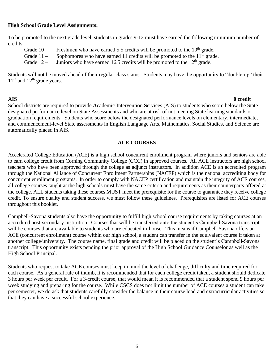#### **High School Grade Level Assignments:**

To be promoted to the next grade level, students in grades 9-12 must have earned the following minimum number of credits:

| Grade 10 –  | Freshmen who have earned 5.5 credits will be promoted to the $10th$ grade.  |
|-------------|-----------------------------------------------------------------------------|
| Grade 11 –  | Sophomores who have earned 11 credits will be promoted to the $11th$ grade. |
| Grade $12-$ | Juniors who have earned 16.5 credits will be promoted to the $12th$ grade.  |

Students will not be moved ahead of their regular class status. Students may have the opportunity to "double-up" their  $11<sup>th</sup>$  and  $12<sup>th</sup>$  grade years.

#### 207 **AIS 0 credit**

School districts are required to provide **A**cademic **I**ntervention Services (AIS) to students who score below the State designated performance level on State Assessments and who are at risk of not meeting State learning standards or 210 graduation requirements. Students who score below the designated performance levels on elementary, intermediate, and commencement-level State assessments in English Language Arts, Mathematics, Social Studies, and Science are automatically placed in AIS.

#### **ACE COURSES**

Accelerated College Education (ACE) is a high school concurrent enrollment program where juniors and seniors are able 217 to earn college credit from Corning Community College (CCC) in approved courses. All ACE instructors are high school 218 teachers who have been approved through the college as adjunct instructors. In addition ACE is an accredited program 219 through the National Alliance of Concurrent Enrollment Partnerships (NACEP) which is the national accrediting body for concurrent enrollment programs. In order to comply with NACEP certification and maintain the integrity of ACE courses, all college courses taught at the high schools must have the same criteria and requirements as their counterparts offered at the college. ALL students taking these courses MUST meet the prerequisite for the course to guarantee they receive college credit. To ensure quality and student success, we must follow these guidelines. Prerequisites are listed for ACE courses throughout this booklet.

Campbell-Savona students also have the opportunity to fulfill high school course requirements by taking courses at an accredited post-secondary institution. Courses that will be transferred onto the student's Campbell-Savona transcript will be courses that are available to students who are educated in-house. This means if Campbell-Savona offers an ACE (concurrent enrollment) course within our high school, a student can transfer in the equivalent course if taken at another college/university. The course name, final grade and credit will be placed on the student's Campbell-Savona transcript. This opportunity exists pending the prior approval of the High School Guidance Counselor as well as the High School Principal.

Students who request to take ACE courses must keep in mind the level of challenge, difficulty and time required for each course. As a general rule of thumb, it is recommended that for each college credit taken, a student should dedicate 236 3 hours per week per credit. For a 3-credit course, that would mean it is recommended that a student spend 9 hours per week studying and preparing for the course. While CSCS does not limit the number of ACE courses a student can take 238 per semester, we do ask that students carefully consider the balance in their course load and extracurricular activities so that they can have a successful school experience.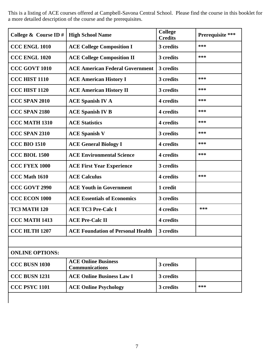241 This is a listing of ACE courses offered at Campbell-Savona Central School. Please find the course in this booklet for a more detailed description of the course and the prerequisites.

| College $&$ Course ID # | <b>High School Name</b>                             | <b>College</b><br><b>Credits</b> | Prerequisite *** |
|-------------------------|-----------------------------------------------------|----------------------------------|------------------|
| CCC ENGL 1010           | <b>ACE College Composition I</b>                    | 3 credits                        | ***              |
| <b>CCC ENGL 1020</b>    | <b>ACE College Composition II</b>                   | 3 credits                        | ***              |
| CCC GOVT 1010           | <b>ACE American Federal Government</b>              | 3 credits                        |                  |
| <b>CCC HIST 1110</b>    | <b>ACE American History I</b>                       | 3 credits                        | ***              |
| <b>CCC HIST 1120</b>    | <b>ACE American History II</b>                      | 3 credits                        | ***              |
| CCC SPAN 2010           | <b>ACE Spanish IV A</b>                             | 4 credits                        | ***              |
| CCC SPAN 2180           | <b>ACE Spanish IV B</b>                             | 4 credits                        | ***              |
| <b>CCC MATH 1310</b>    | <b>ACE Statistics</b>                               | 4 credits                        | ***              |
| <b>CCC SPAN 2310</b>    | <b>ACE Spanish V</b>                                | 3 credits                        | ***              |
| <b>CCC BIO 1510</b>     | <b>ACE General Biology I</b>                        | 4 credits                        | ***              |
| <b>CCC BIOL 1500</b>    | <b>ACE Environmental Science</b>                    | 4 credits                        | ***              |
| <b>CCC FYEX 1000</b>    | <b>ACE First Year Experience</b>                    | 3 credits                        |                  |
| <b>CCC Math 1610</b>    | <b>ACE Calculus</b>                                 | 4 credits                        | ***              |
| <b>CCC GOVT 2990</b>    | <b>ACE Youth in Government</b>                      | 1 credit                         |                  |
| <b>CCC ECON 1000</b>    | <b>ACE Essentials of Economics</b>                  | 3 credits                        |                  |
| TC3 MATH 120            | <b>ACE TC3 Pre-Calc I</b>                           | 4 credits                        | ***              |
| <b>CCC MATH 1413</b>    | <b>ACE Pre-Calc II</b>                              | 4 credits                        |                  |
| <b>CCC HLTH 1207</b>    | <b>ACE Foundation of Personal Health</b>            | 3 credits                        |                  |
|                         |                                                     |                                  |                  |
| <b>ONLINE OPTIONS:</b>  |                                                     |                                  |                  |
| CCC BUSN 1030           | <b>ACE Online Business</b><br><b>Communications</b> | 3 credits                        |                  |
| <b>CCC BUSN 1231</b>    | <b>ACE Online Business Law I</b>                    | 3 credits                        |                  |
| <b>CCC PSYC 1101</b>    | <b>ACE Online Psychology</b>                        | 3 credits                        | ***              |

 $\overline{\phantom{a}}$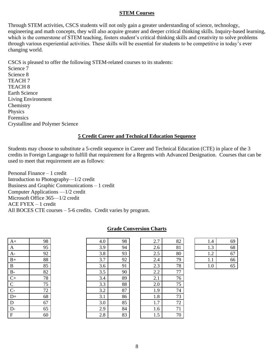#### **STEM Courses**

Through STEM activities, CSCS students will not only gain a greater understanding of science, technology, 253 engineering and math concepts, they will also acquire greater and deeper critical thinking skills. Inquiry-based learning, which is the cornerstone of STEM teaching, fosters student's critical thinking skills and creativity to solve problems through various experiential activities. These skills will be essential for students to be competitive in today's ever changing world.

258 CSCS is pleased to offer the following STEM-related courses to its students: Science 7 Science 8 TEACH 7 TEACH<sub>8</sub> Earth Science Living Environment Chemistry Physics **Forensics** Crystalline and Polymer Science

#### **<u>5 Credit Career and Technical Education Sequence</u>**

Students may choose to substitute a 5-credit sequence in Career and Technical Education (CTE) in place of the 3 credits in Foreign Language to fulfill that requirement for a Regents with Advanced Designation. Courses that can be used to meet that requirement are as follows:

Personal Finance – 1 credit Introduction to Photography—1/2 credit Business and Graphic Communications  $-1$  credit Computer Applications  $-1/2$  credit Microsoft Office 365—1/2 credit  $ACE$  FYEX  $-1$  credit All BOCES CTE courses - 5-6 credits. Credit varies by program.

| $A+$          | 98 | 4.0 | 98 | 2.7 | 82     | 1.4 | 69 |
|---------------|----|-----|----|-----|--------|-----|----|
| A             | 95 | 3.9 | 94 | 2.6 | 81     | 1.3 | 68 |
| A-            | 92 | 3.8 | 93 | 2.5 | 80     | 1.2 | 67 |
| $B+$          | 88 | 3.7 | 92 | 2.4 | 79     | 1.1 | 66 |
| B             | 85 | 3.6 | 91 | 2.3 | 78     | 1.0 | 65 |
| $B-$          | 82 | 3.5 | 90 | 2.2 | $77\,$ |     |    |
| $C+$          | 78 | 3.4 | 89 | 2.1 | 76     |     |    |
| $\mathcal{C}$ | 75 | 3.3 | 88 | 2.0 | 75     |     |    |
| $C-$          | 72 | 3.2 | 87 | 1.9 | 74     |     |    |
| $D+$          | 68 | 3.1 | 86 | 1.8 | 73     |     |    |
| D             | 67 | 3.0 | 85 | 1.7 | 72     |     |    |
| $D-$          | 65 | 2.9 | 84 | 1.6 | 71     |     |    |
| $\mathbf F$   | 60 | 2.8 | 83 | 1.5 | 70     |     |    |

|  | <b>Grade Conversion Charts</b> |  |
|--|--------------------------------|--|
|  |                                |  |

| A+               | 98 | 4.0 | 98 | 2.7 | 82 |
|------------------|----|-----|----|-----|----|
| A                | 95 | 3.9 | 94 | 2.6 | 81 |
| $A-$             | 92 | 3.8 | 93 | 2.5 | 80 |
| $\overline{B+}$  | 88 | 3.7 | 92 | 2.4 | 79 |
| $\overline{B}$   | 85 | 3.6 | 91 | 2.3 | 78 |
| $\overline{B}$ - | 82 | 3.5 | 90 | 2.2 | 77 |
| $\overline{C+}$  | 78 | 3.4 | 89 | 2.1 | 76 |
| $\overline{C}$   | 75 | 3.3 | 88 | 2.0 | 75 |
| $\overline{C}$ - | 72 | 3.2 | 87 | 1.9 | 74 |
| $D+$             | 68 | 3.1 | 86 | 1.8 | 73 |
| D                | 67 | 3.0 | 85 | 1.7 | 72 |
| $\overline{D}$ - | 65 | 2.9 | 84 | 1.6 | 71 |
| F                | 60 | 2.8 | 83 | 1.5 | 70 |
|                  |    |     |    |     |    |

| A                | 95 | 3.9 | 94 | 2.6 | 81 | 1.3 | 68 |
|------------------|----|-----|----|-----|----|-----|----|
| $A -$            | 92 | 3.8 | 93 | 2.5 | 80 | 1.2 | 67 |
| $B+$             | 88 | 3.7 | 92 | 2.4 | 79 | 1.1 | 66 |
| B                | 85 | 3.6 | 91 | 2.3 | 78 | 1.0 | 65 |
| $B -$            | 82 | 3.5 | 90 | 2.2 | 77 |     |    |
| $C+$             | 78 | 3.4 | 89 | 2.1 | 76 |     |    |
| $\mathsf{C}$     | 75 | 3.3 | 88 | 2.0 | 75 |     |    |
| $\overline{C}$ - | 72 | 3.2 | 87 | 1.9 | 74 |     |    |
| D+               | 68 | 3.1 | 86 | 1.8 | 73 |     |    |
| D                | 67 | 3.0 | 85 | 1.7 | 72 |     |    |
| D-               | 65 | 2.9 | 84 | 1.6 | 71 |     |    |
| F                | 60 | 2.8 | 83 | 1.5 | 70 |     |    |

| 1.4       | 69 |
|-----------|----|
| $\cdot$ 3 | 68 |
| 1.2       | 67 |
|           | 66 |
|           | 65 |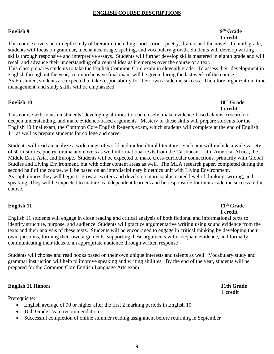#### **ENGLISH COURSE DESCRIPTIONS**

#### **English 9** 2014 **PM** 3 29<sup>th</sup> Grade

## 295 **1 credit**

This course covers an in-depth study of literature including short stories, poetry, drama, and the novel. In ninth grade, students will focus on grammar, mechanics, usage, spelling, and vocabulary growth. Students will develop writing skills through responsive and interpretive essays. Students will further develop skills mastered in eighth grade and will recall and advance their understanding of a central idea as it emerges over the course of a text. This class prepares students to take the English Common Core exam in eleventh grade. To assess their development in English throughout the year, a comprehensive final exam will be given during the last week of the course. As Freshmen, students are expected to take responsibility for their own academic success. Therefore organization, time management, and study skills will be emphasized.

#### **English 10** 30<sup>th</sup> Grade

## 307 **1 credit**

This course will focus on students' developing abilities to read closely, make evidence-based claims, research to deepen understanding, and make evidence-based arguments. Mastery of these skills will prepare students for the English 10 final exam, the Common Core English Regents exam, which students will complete at the end of English 11, as well as prepare students for college and career.

Students will read an analyze a wide range of world and multicultural literature. Each unit will include a wide variety of short stories, poetry, drama and novels as well informational texts from the Caribbean, Latin America, Africa, the Middle East, Asia, and Europe. Students will be expected to make cross-curricular connections, primarily with Global Studies and Living Environment, but with other content areas as well. The MLA research paper, completed during the second half of the course, will be based on an interdisciplinary bioethics unit with Living Environment. As sophomores they will begin to grow as writers and develop a more sophisticated level of thinking, writing, and speaking. They will be expected to mature as independent learners and be responsible for their academic success in this course.

#### **English 11** 323 **th Grade** 3 **11<sup>th</sup> Grade** 324 **1 credit**

English 11 students will engage in close reading and critical analysis of both fictional and informational texts to identify structure, purpose, and audience. Students will practice argumentative writing using sound evidence from the texts and their analysis of these texts. Students will be encouraged to engage in critical thinking by developing their own questions, forming their own arguments, supporting these arguments with adequate evidence, and formally communicating their ideas to an appropriate audience through written response

Students will choose and read books based on their own unique interests and talents as well. Vocabulary study and grammar instruction will help to improve speaking and writing abilities. By the end of the year, students will be prepared for the Common Core English Language Arts exam.

#### **English 11 Honors** 11th Grade

Prerequisite:

- English average of 90 or higher after the first 2 marking periods in English 10
- 10th Grade Team recommendation
- Successful completion of online summer reading assignment before returning in September

337 **1 credit**

9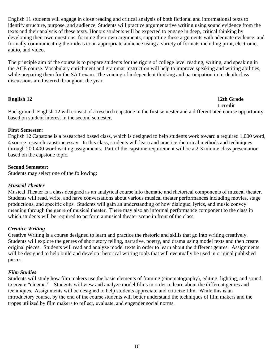English 11 students will engage in close reading and critical analysis of both fictional and informational texts to identify structure, purpose, and audience. Students will practice argumentative writing using sound evidence from the 348 texts and their analysis of these texts. Honors students will be expected to engage in deep, critical thinking by developing their own questions, forming their own arguments, supporting these arguments with adequate evidence, and formally communicating their ideas to an appropriate audience using a variety of formats including print, electronic, audio, and video.

The principle aim of the course is to prepare students for the rigors of college level reading, writing, and speaking in the ACE course. Vocabulary enrichment and grammar instruction will help to improve speaking and writing abilities, while preparing them for the SAT exam. The voicing of independent thinking and participation in in-depth class discussions are fostered throughout the year.

#### **English 12** 12th Grade 360 **1 credit**

Background: English 12 will consist of a research capstone in the first semester and a differentiated course opportunity based on student interest in the second semester.

#### 364 **First Semester:**

English 12 Capstone is a researched based class, which is designed to help students work toward a required 1,000 word, 366 4 source research capstone essay. In this class, students will learn and practice rhetorical methods and techniques through 200-400 word writing assignments. Part of the capstone requirement will be a 2-3 minute class presentation based on the capstone topic.

#### **Second Semester:**

Students may select one of the following:

#### 373 *Musical Theater*

Musical Theater is a class designed as an analytical course into thematic and rhetorical components of musical theater. Students will read, write, and have conversations about various musical theater performances including movies, stage 376 productions, and specific clips.  Students will gain an understanding of how dialogue, lyrics, and music convey meaning through the genre of musical theater. There may also an informal performance component to the class in which students will be required to perform a musical theater scene in front of the class.

#### 380 *Creative Writing*

381 Creative Writing is a course designed to learn and practice the rhetoric and skills that go into writing creatively. Students will explore the genres of short story telling, narrative, poetry, and drama using model texts and then create 383 original pieces. Students will read and analyze model texts in order to learn about the different genres. Assignments will be designed to help build and develop rhetorical writing tools that will eventually be used in original published pieces.

#### **Film Studies**

Students will study how film makers use the basic elements of framing (cinematography), editing, lighting, and sound to create "cinema." Students will view and analyze model films in order to learn about the different genres and techniques. Assignments will be designed to help students appreciate and criticize film. While this is an introductory course, by the end of the course students will better understand the techniques of film makers and the tropes utilized by film makers to reflect, evaluate, and engender social norms.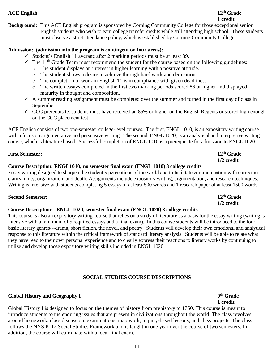## 399 **1 credit**

**Background:** This ACE English program is sponsored by Corning Community College for those exceptional senior 401 English students who wish to earn college transfer credits while still attending high school. These students must observe a strict attendance policy, which is established by Corning Community College.

### Admission: (admission into the program is contingent on four areas):

- $\checkmark$  Student's English 11 average after 2 marking periods must be at least 89.
- $\checkmark$  The 11<sup>th</sup> Grade Team must recommend the student for the course based on the following guidelines:
	- 407 o The student displays an interest in higher learning with a positive attitude.
	- $\circ$  The student shows a desire to achieve through hard work and dedication.
	- $\circ$  The completion of work in English 11 is in compliance with given deadlines.
	- $\circ$  The written essays completed in the first two marking periods scored 86 or higher and displayed maturity in thought and composition.
- $\checkmark$  A summer reading assignment must be completed over the summer and turned in the first day of class in September.
- $\checkmark$  CCC prerequisite: students must have received an 85% or higher on the English Regents or scored high enough on the CCC placement test.

ACE English consists of two one-semester college-level courses. The first, ENGL 1010, is an expository writing course with a focus on argumentative and persuasive writing. The second, ENGL 1020, is an analytical and interpretive writing course, which is literature based. Successful completion of ENGL 1010 is a prerequisite for admission to ENGL 1020.

### **First Semester: 12<sup>th</sup> Grade**

#### 421 **1/2 credit** 422 **Course Description: ENGL1010, no semester final exam (ENGL 1010) 3 college credits**

Essay writing designed to sharpen the student's perceptions of the world and to facilitate communication with correctness, clarity, unity, organization, and depth. Assignments include expository writing, argumentation, and research techniques. Writing is intensive with students completing 5 essays of at least 500 words and 1 research paper of at least 1500 words.

### **Second Semester: 12<sup>th</sup> Grade**

#### 428 **1/2 credit** 429 **Course Description: ENGL 1020, semester final exam (ENGL 1020) 3 college credits**

This course is also an expository writing course that relies on a study of literature as a basis for the essay writing (writing is intensive with a minimum of 5 required essays and a final exam). In this course students will be introduced to the four basic literary genres---drama, short fiction, the novel, and poetry. Students will develop their own emotional and analytical response to this literature within the critical framework of standard literary analysis. Students will be able to relate what they have read to their own personal experience and to clearly express their reactions to literary works by continuing to utilize and develop those expository writing skills included in ENGL 1020.

### 440 **SOCIAL STUDIES COURSE DESCRIPTIONS**

### **Global History and Geography I** 9<sup>th</sup> Grade

444 **1 credit**  Global History I is designed to focus on the themes of history from prehistory to 1750. This course is meant to introduce students to the enduring issues that are present in civilizations throughout the world. The class revolves around homework, class discussion, examinations, map work, inquiry-based lessons, and class projects. The class follows the NYS K-12 Social Studies Framework and is taught in one year over the course of two semesters. In addition, the course will culminate with a local final exam.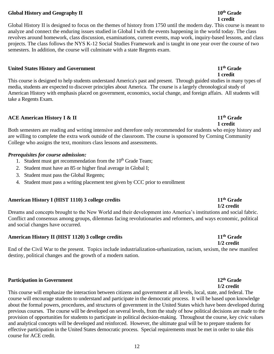### **Global History and Geography II 10<sup>th</sup> Grade**

#### 452 **1 credit**  Global History II is designed to focus on the themes of history from 1750 until the modern day. This course is meant to analyze and connect the enduring issues studied in Global I with the events happening in the world today. The class revolves around homework, class discussion, examinations, current events, map work, inquiry-based lessons, and class projects. The class follows the NYS K-12 Social Studies Framework and is taught in one year over the course of two semesters. In addition, the course will culminate with a state Regents exam.

### **United States History and Government 11<sup>th</sup> Grade**

461 **1 credit** This course is designed to help students understand America's past and present. Through guided studies in many types of media, students are expected to discover principles about America. The course is a largely chronological study of American History with emphasis placed on government, economics, social change, and foreign affairs. All students will take a Regents Exam.

### **ACE American History I & II** 11<sup>th</sup> Grade

469 **1 credit** Both semesters are reading and writing intensive and therefore only recommended for students who enjoy history and are willing to complete the extra work outside of the classroom. The course is sponsored by Corning Community College who assigns the text, monitors class lessons and assessments.

### **Prerequisites for course admission:**

- 1. Student must get recommendation from the  $10<sup>th</sup>$  Grade Team;
- 2. Student must have an 85 or higher final average in Global I;
- 3. Student must pass the Global Regents;
- 4. Student must pass a writing placement test given by CCC prior to enrollment

### **American History I (HIST 1110) 3 college credits 11<sup>th</sup> Grade**

481 **1/2 credit** Dreams and concepts brought to the New World and their development into America's institutions and social fabric. Conflict and consensus among groups, dilemmas facing revolutionaries and reformers, and ways economic, political and social changes have occurred.

### **American History II (HIST 1120) 3 college credits 11<sup>th</sup> Grade**

487 **1/2 credit** End of the Civil War to the present. Topics include industrialization-urbanization, racism, sexism, the new manifest destiny, political changes and the growth of a modern nation.

### **Participation in Government 12<sup>th</sup> Grade**

This course will emphasize the interaction between citizens and government at all levels, local, state, and federal. The course will encourage students to understand and participate in the democratic process. It will be based upon knowledge about the formal powers, procedures, and structures of government in the United States which have been developed during previous courses. The course will be developed on several levels, from the study of how political decisions are made to the provision of opportunities for students to participate in political decision-making. Throughout the course, key civic values and analytical concepts will be developed and reinforced. However, the ultimate goal will be to prepare students for effective participation in the United States democratic process. Special requirements must be met in order to take this course for ACE credit.

## 494 **1/2 credit**

#### 12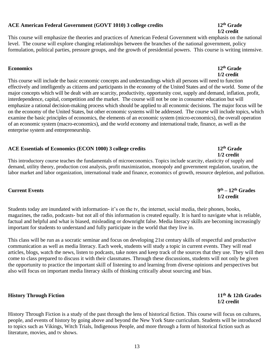### **ACE American Federal Government (GOVT 1010) 3 college credits 12<sup>th</sup> Grade**

### This course will emphasize the theories and practices of American Federal Government with emphasis on the national level. The course will explore changing relationships between the branches of the national government, policy formulation, political parties, pressure groups, and the growth of presidential powers. This course is writing intensive.

#### **Economics 12<sup>th</sup> Grade**

513 **1/2 credit** This course will include the basic economic concepts and understandings which all persons will need to function 515 effectively and intelligently as citizens and participants in the economy of the United States and of the world. Some of the major concepts which will be dealt with are scarcity, productivity, opportunity cost, supply and demand, inflation, profit, interdependence, capital, competition and the market. The course will not be one in consumer education but will emphasize a rational decision-making process which should be applied to all economic decisions. The major focus will be on the economy of the United States, but other economic systems will be addressed. The course will include topics, which examine the basic principles of economics, the elements of an economic system (micro-economics), the overall operation of an economic system (macro-economics), and the world economy and international trade, finance, as well as the enterprise system and entrepreneurship.

### **ACE Essentials of Economics** (ECON 1000) 3 college credits **12<sup>th</sup>** Grade

526 **1/2 credit** This introductory course teaches the fundamentals of microeconomics. Topics include scarcity, elasticity of supply and demand, utility theory, production cost analysis, profit maximization, monopoly and government regulation, taxation, the labor market and labor organization, international trade and finance, economics of growth, resource depletion, and pollution.

#### **Current Events 9**

Students today are inundated with information- it's on the tv, the internet, social media, their phones, books, magazines, the radio, podcasts- but not all of this information is created equally. It is hard to navigate what is reliable, factual and helpful and what is biased, misleading or downright false. Media literacy skills are becoming increasingly important for students to understand and fully participate in the world that they live in.

This class will be run as a socratic seminar and focus on developing 21st century skills of respectful and productive communication as well as media literacy. Each week, students will study a topic in current events. They will read articles, blogs, watch the news, listen to podcasts, take notes and keep track of the sources that they use. They will then 541 come to class prepared to discuss it with their classmates. Through these discussions, students will not only be given the opportunity to practice the important skill of listening to and learning from diverse opinions and perspectives but also will focus on important media literacy skills of thinking critically about sourcing and bias.

### **History Through Fiction 11<sup>th</sup> & 12th Grades**

History Through Fiction is a study of the past through the lens of historical fiction. This course will focus on cultures, people, and events of history by going above and beyond the New York State curriculum. Students will be introduced to topics such as Vikings, Witch Trials, Indigenous People, and more through a form of historical fiction such as literature, movies, and tv shows.

546 **1/2 credit**

# $9<sup>th</sup> - 12<sup>th</sup>$  Grades

## 533 **1/2 credit**

## 506 **1/2 credit**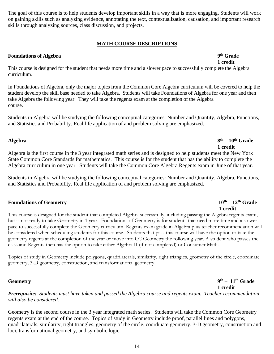The goal of this course is to help students develop important skills in a way that is more engaging. Students will work 552 on gaining skills such as analyzing evidence, annotating the text, contextualization, causation, and important research skills through analyzing sources, class discussion, and projects.

### 555 **MATH COURSE DESCRIPTIONS**

#### **Foundations of Algebra 9<sup>th</sup> Grade**

This course is designed for the student that needs more time and a slower pace to successfully complete the Algebra curriculum.

In Foundations of Algebra, only the major topics from the Common Core Algebra curriculum will be covered to help the student develop the skill base needed to take Algebra. Students will take Foundations of Algebra for one year and then take Algebra the following year. They will take the regents exam at the completion of the Algebra course.

Students in Algebra will be studying the following conceptual categories: Number and Quantity, Algebra, Functions, 568 and Statistics and Probability. Real life application of and problem solving are emphasized.

#### **Algebra 8 th**  $8^{th} - 10^{th}$  Grade

572 **1 credit** Algebra is the first course in the 3 year integrated math series and is designed to help students meet the New York State Common Core Standards for mathematics. This course is for the student that has the ability to complete the 575 Algebra curriculum in one year. Students will take the Common Core Algebra Regents exam in June of that year.

Students in Algebra will be studying the following conceptual categories: Number and Quantity, Algebra, Functions, and Statistics and Probability. Real life application of and problem solving are emphasized.

#### **Foundations of Geometry** 10<sup>th</sup> – 12<sup>th</sup> Grade

582 **1 credit** This course is designed for the student that completed Algebra successfully, including passing the Algebra regents exam, but is not ready to take Geometry in 1 year. Foundations of Geometry is for students that need more time and a slower pace to successfully complete the Geometry curriculum. Regents exam grade in Algebra plus teacher recommendation will 586 be considered when scheduling students for this course. Students that pass this course will have the option to take the 587 geometry regents at the completion of the year or move into CC Geometry the following year. A student who passes the class and Regents then has the option to take either Algebra II (if not completed) or Consumer Math.

Topics of study in Geometry include polygons, quadrilaterals, similarity, right triangles, geometry of the circle, coordinate geometry, 3-D geometry, construction, and transformational geometry.

#### **Geometry 9**

595 **1 credit** 596 *Prerequisite: Students must have taken and passed the Algebra course and regents exam. Teacher recommendation*  will also be considered.

Geometry is the second course in the 3 year integrated math series. Students will take the Common Core Geometry regents exam at the end of the course. Topics of study in Geometry include proof, parallel lines and polygons, quadrilaterals, similarity, right triangles, geometry of the circle, coordinate geometry, 3-D geometry, construction and loci, transformational geometry, and symbolic logic.

 $9<sup>th</sup>$  **– 11<sup>th</sup> Grade**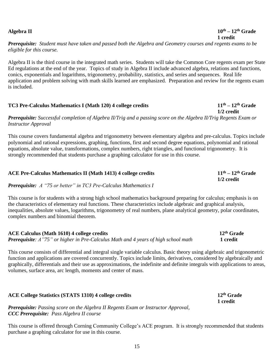### Prerequisite: Student must have taken and passed both the Algebra and Geometry courses and regents exams to be 610 *eligible for this course.*

612 Algebra II is the third course in the integrated math series. Students will take the Common Core regents exam per State Ed regulations at the end of the year. Topics of study in Algebra II include advanced algebra, relations and functions, conics, exponentials and logarithms, trigonometry, probability, statistics, and series and sequences. Real life application and problem solving with math skills learned are emphasized. Preparation and review for the regents exam is included.

### **TC3 Pre-Calculus Mathematics I (Math 120) 4 college credits <b>11<sup>th</sup>** – 12<sup>th</sup> Grade

620 **1/2 credit** 621 *Prerequisite: Successful completion of Algebra II/Trig and a passing score on the Algebra II/Trig Regents Exam or*  622 *Instructor Approval* 

This course covers fundamental algebra and trigonometry between elementary algebra and pre-calculus. Topics include polynomial and rational expressions, graphing, functions, first and second degree equations, polynomial and rational equations, absolute value, transformations, complex numbers, right triangles, and functional trigonometry. It is strongly recommended that students purchase a graphing calculator for use in this course.

### **ACE Pre-Calculus Mathematics II** (Math 1413) 4 college credits **11<sup>th</sup>** – 12<sup>th</sup> Grade 631 **1/2 credit**

632 *Prerequisite: A "75 or better" in TC3 Pre-Calculus Mathematics I*

This course is for students with a strong high school mathematics background preparing for calculus; emphasis is on the characteristics of elementary real functions. These characteristics include algebraic and graphical analysis, inequalities, absolute values, logarithms, trigonometry of real numbers, plane analytical geometry, polar coordinates, complex numbers and binomial theorem.

**ACE Calculus (Math 1610) 4 college credits** 12<sup>th</sup> **Grade** *Prerequisite:**A* **"75" or higher in Pre-Calculus Math and 4 years of high school math 1 credit** 

This course consists of differential and integral single variable calculus. Basic theory using algebraic and trigonometric function and applications are covered concurrently. Topics include limits, derivatives, considered by algebraically and graphically, differentials and their use as approximations, the indefinite and definite integrals with applications to areas, volumes, surface area, arc length, moments and center of mass.

### **ACE College Statistics** (STATS 1310) 4 college credits **12<sup>th</sup>** Grade

651 **1 credit** 652 *Prerequisite: Passing score on the Algebra II Regents Exam or Instructor Approval,*  653 *CCC Prerequisite: Pass Algebra II course*

This course is offered through Corning Community College's ACE program. It is strongly recommended that students purchase a graphing calculator for use in this course.

#### **Algebra II** 10<sup>th</sup> –  $12^{\text{th}}$  Grade 608 **1 credit**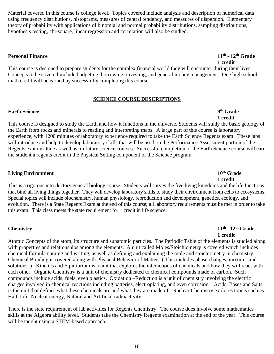Material covered in this course is college level. Topics covered include analysis and description of numerical data 659 using frequency distributions, histograms, measures of central tendency, and measures of dispersion. Elementary theory of probability with applications of binomial and normal probability distributions, sampling distributions, hypothesis testing, chi-square, linear regression and correlation will also be studied.

#### **Personal Finance 11<sup>th</sup> - 12<sup>th</sup> Crade**

This course is designed to prepare students for the complex financial world they will encounter during their lives. Concepts to be covered include budgeting, borrowing, investing, and general money management. One high school math credit will be earned by successfully completing this course.

#### **SCIENCE COURSE DESCRIPTIONS**

#### **Earth Science 9<sup>th</sup> Grade**

## 675 **1 credit**

This course is designed to study the Earth and how it functions in the universe. Students will study the basic geology of the Earth from rocks and minerals to reading and interpreting maps. A large part of this course is laboratory experience, with 1200 minutes of laboratory experience required to take the Earth Science Regents exam. These labs will introduce and help to develop laboratory skills that will be used on the Performance Assessment portion of the Regents exam in June as well as, in future science courses. Successful completion of the Earth Science course will earn the student a regents credit in the Physical Setting component of the Science program.

### **Living Environment 10<sup>th</sup> Grade**

685 **1 credit** This is a rigorous introductory general biology course. Students will survey the five living kingdoms and the life functions that bind all living things together. They will develop laboratory skills to study their environment from cells to ecosystems. Special topics will include biochemistry, human physiology, reproduction and development, genetics, ecology, and evolution. There is a State Regents Exam at the end of this course; all laboratory requirements must be met in order to take this exam. This class meets the state requirement for 1 credit in life science.

#### **Chemistry 11th**

#### **Chemistry** 11<sup>th</sup> - 12<sup>th</sup> Grade 694 **1 credit**

Atomic Concepts of the atom, its structure and subatomic particles. The Periodic Table of the elements is studied along with properties and relationships among the elements. A unit called Moles/Stoichiometry is covered which includes 697 chemical formula naming and writing, as well as defining and explaining the mole and stoichiometry in chemistry. Chemical Bonding is covered along with Physical Behavior of Matter. (This includes phase changes, mixtures and solutions.) Kinetics and Equilibrium is a unit that explores the interactions of chemicals and how they will react with each other. Organic Chemistry is a unit of chemistry dedicated to chemical compounds made of carbon. Such compounds include acids, fuels, even plastics. Oxidation –Reduction is a unit of chemistry involving the electric 702 charges involved in chemical reactions including batteries, electroplating, and even corrosion. Acids, Bases and Salts is the unit that defines what these chemicals are and what they are made of. Nuclear Chemistry explores topics such as Half-Life, Nuclear energy, Natural and Artificial radioactivity.

There is the state requirement of lab activities for Regents Chemistry. The course does involve some mathematics skills at the Algebra ability level. Students take the Chemistry Regents examination at the end of the year. This course will be taught using a STEM-based approach.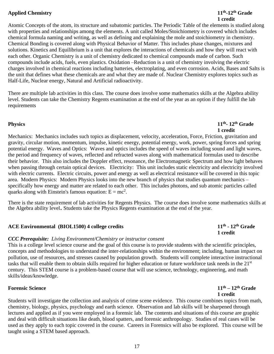#### **Applied Chemistry** 11<sup>th</sup>-12<sup>th</sup> Grade

## 713 **1 credit**

Atomic Concepts of the atom, its structure and subatomic particles. The Periodic Table of the elements is studied along with properties and relationships among the elements. A unit called Moles/Stoichiometry is covered which includes 716 chemical formula naming and writing, as well as defining and explaining the mole and stoichiometry in chemistry. 717 Chemical Bonding is covered along with Physical Behavior of Matter. This includes phase changes, mixtures and 718 solutions. Kinetics and Equilibrium is a unit that explores the interactions of chemicals and how they will react with each other. Organic Chemistry is a unit of chemistry dedicated to chemical compounds made of carbon. Such compounds include acids, fuels, even plastics. Oxidation –Reduction is a unit of chemistry involving the electric charges involved in chemical reactions including batteries, electroplating, and even corrosion. Acids, Bases and Salts is the unit that defines what these chemicals are and what they are made of. Nuclear Chemistry explores topics such as Half-Life, Nuclear energy, Natural and Artificial radioactivity.

There are multiple lab activities in this class. The course does involve some mathematics skills at the Algebra ability level. Students can take the Chemistry Regents examination at the end of the year as an option if they fulfill the lab requirements

#### **Physics 11th**

729 **1 credit** Mechanics: Mechanics includes such topics as displacement, velocity, acceleration, Force, Friction, gravitation and gravity, circular motion, momentum, impulse, kinetic energy, potential energy, work, power, spring forces and spring potential energy. Waves and Optics: Waves and optics includes the speed of waves including sound and light waves, the period and frequency of waves, reflected and refracted waves along with mathematical formulas used to describe their behavior. This also includes the Doppler effect, resonance, the Electromagnetic Spectrum and how light behaves when passing through certain optical devices. Electricity: This unit includes static electricity and electricity involved with electric currents. Electric circuits, power and energy as well as electrical resistance will be covered in this topic area. Modern Physics: Modern Physics looks into the new branch of physics that studies quantum mechanics – specifically how energy and matter are related to each other. This includes photons, and sub atomic particles called quarks along with Einstein's famous equation:  $E = mc^2$ .

There is the state requirement of lab activities for Regents Physics. The course does involve some mathematics skills at the Algebra ability level. Students take the Physics Regents examination at the end of the year.

#### **ACE Environmental (BIOL1500) 4 college credits <b>11<sup>th</sup>** - 12<sup>th</sup> Grade

#### 747 *CCC Prerequisite: Living Environment/Chemistry or instructor consent*

This is a college level science course and the goal of this course is to provide students with the scientific principles, 749 concepts and methodologies to understand the inter-relationships within the environment; including, human impact on pollution, use of resources, and stresses caused by population growth. Students will complete interactive instructional tasks that will enable them to obtain skills required for higher education or future workforce task needs in the  $21<sup>st</sup>$ 752 century. This STEM course is a problem-based course that will use science, technology, engineering, and math skills/ideas/knowledge.

#### **Forensic Science** 11<sup>th</sup> – 12<sup>th</sup> Grade 756 **1 credit**

Students will investigate the collection and analysis of crime scene evidence. This course combines topics from math, chemistry, biology, physics, psychology and earth science. Observation and lab skills will be sharpened through lectures and applied as if you were employed in a forensic lab. The contents and situations of this course are graphic and deal with difficult situations like death, blood spatters, and forensic anthropology. Studies of real cases will be used as they apply to each topic covered in the course. Careers in Forensics will also be explored. This course will be taught using a STEM based approach.

# $11<sup>th</sup>$  -  $12<sup>th</sup>$  Grade

# **Physics** 11<sup>th</sup> 12<sup>th</sup> Grade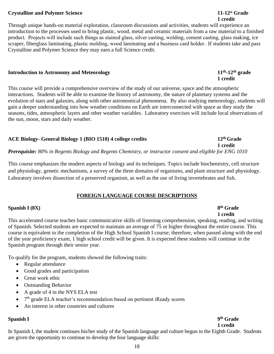#### **Crystalline and Polymer Science 11-12** *h* **directly and <b>11-12** *th* **Grade**

#### 765 **1 credit**  Through unique hands-on material exploration, classroom discussions and activities, students will experience an 767 introduction to the processes used to bring plastic, wood, metal and ceramic materials from a raw material to a finished product. Projects will include such things as stained glass, silver casting, welding, cement casting, glass making, ice scraper, fiberglass laminating, plastic molding, wood laminating and a business card holder. If students take and pass Crystalline and Polymer Science they may earn a full Science credit.

#### **Introduction to Astronomy and Meteorology**  $11<sup>th</sup>$ **-12<sup>th</sup> grade**

This course will provide a comprehensive overview of the study of our universe, space and the atmospheric interactions. Students will be able to examine the history of astronomy, the nature of planetary systems and the evolution of stars and galaxies, along with other astronomical phenomena. By also studying meteorology, students will gain a deeper understanding into how weather conditions on Earth are interconnected with space as they study the seasons, tides, atmospheric layers and other weather variables. Laboratory exercises will include local observations of the sun, moon, stars and daily weather.

#### **ACE Biology- General Biology 1 (BIO 1510) 4 college credits 12<sup>th</sup> Grade**

784 *Prerequisite: 80% in Regents Biology and Regents Chemistry, or instructor consent and eligible for ENG 1010*

This course emphasizes the modern aspects of biology and its techniques. Topics include biochemistry, cell structure and physiology, genetic mechanisms, a survey of the three domains of organisms, and plant structure and physiology. Laboratory involves dissection of a preserved organism, as well as the use of living invertebrates and fish.

#### 790 **FOREIGN LANGUAGE COURSE DESCRIPTIONS**

#### **Spanish I** (8X) **8<sup>th</sup> Grade**

793 **1 credit** This accelerated course teaches basic communicative skills of listening comprehension, speaking, reading, and writing of Spanish. Selected students are expected to maintain an average of 75 or higher throughout the entire course. This course is equivalent to the completion of the High School Spanish I course; therefore, when passed along with the end of the year proficiency exam, 1 high school credit will be given. It is expected these students will continue in the Spanish program through their senior year.

To qualify for the program, students showed the following traits:

- Regular attendance
- Good grades and participation
- Great work ethic
- Outstanding Behavior
- A grade of 4 in the NYS ELA test
- $\bullet$   $7<sup>th</sup>$  grade ELA teacher's recommendation based on pertinent iReady scores
	- An interest in other countries and cultures

#### **Spanish I** 9<sup>th</sup> Grade

810 **1 credit**

In Spanish I, the student continues his/her study of the Spanish language and culture begun in the Eighth Grade. Students are given the opportunity to continue to develop the four language skills:

## *1* credit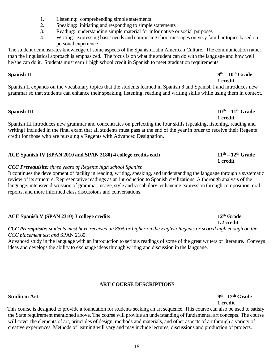| <b>ART COURSE DESCRIPTIONS</b>                                                                                                |                    |
|-------------------------------------------------------------------------------------------------------------------------------|--------------------|
| <b>Studio in Art</b>                                                                                                          | $9th - 12th$ Grade |
|                                                                                                                               | 1 credit           |
| This course is designed to provide a foundation for students seeking an art sequence. This course can also be used to satisfy |                    |

the State requirement mentioned above. The course will provide an understanding of fundamental art concepts. The course will cover the elements of art, principles of design, methods and materials, and other aspects of art through a variety of creative experiences. Methods of learning will vary and may include lectures, discussions and production of projects.

19

#### **Spanish II 9 the Spanish II**  $9<sup>th</sup> - 10<sup>th</sup>$  Grade

Spanish III introduces new grammar and concentrates on perfecting the four skills (speaking, listening, reading and writing) included in the final exam that all students must pass at the end of the year in order to receive their Regents credit for those who are pursuing a Regents with Advanced Designation.

### ACE Spanish IV **(SPAN 2010 and SPAN 2180)** 4 college credits each  $11<sup>th</sup> - 12<sup>th</sup>$  Grade

#### 838 *CCC Prerequisite: three years of Regents high school Spanish.*

It continues the development of facility in reading, writing, speaking, and understanding the language through a systematic review of its structure. Representative readings as an introduction to Spanish civilizations. A thorough analysis of the language; intensive discussion of grammar, usage, style and vocabulary, enhancing expression through composition, oral reports, and more informed class discussions and conversations.

#### **ACE Spanish V (SPAN 2310)** 3 college credits **12<sup>th</sup> Grade**

848 *CCC Prerequisite: students must have received an 85% or higher on the English Regents or scored high enough on the*  849 *CCC placement test and* SPAN 2180.

Advanced study in the language with an introduction to serious readings of some of the great writers of literature. Conveys ideas and develops the ability to exchange ideas through writing and discussion in the language.

#### 824 **1 credit** Spanish II expands on the vocabulary topics that the students learned in Spanish 8 and Spanish I and introduces new grammar so that students can enhance their speaking, listening, reading and writing skills while using them in context.

## **Spanish III 10<sup>th</sup> – 11<sup>th</sup> Grade**

## 837 **1 credit**

## 830 **1 credit**

# 847 **1/2 credit**

1. Listening: comprehending simple statements

- 2. Speaking: initiating and responding to simple statements
- 816 3. Reading: understanding simple material for informative or social purposes
- 817 4. Writing: expressing basic needs and composing short messages on very familiar topics based on personal experience

The student demonstrates knowledge of some aspects of the Spanish Latin American Culture. The communication rather 820 than the linguistical approach is emphasized. The focus is on what the student can do with the language and how well he/she can do it. Students must earn 1 high school credit in Spanish to meet graduation requirements.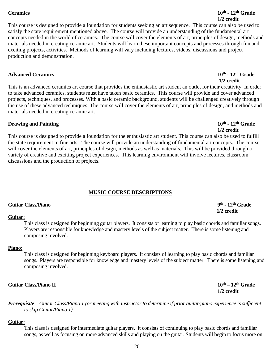#### **Ceramics 10th**

#### 868 **1/2 credit** This course is designed to provide a foundation for students seeking an art sequence. This course can also be used to satisfy the state requirement mentioned above. The course will provide an understanding of the fundamental art 871 concepts needed in the world of ceramics. The course will cover the elements of art, principles of design, methods and materials needed in creating ceramic art. Students will learn these important concepts and processes through fun and exciting projects, activities. Methods of learning will vary including lectures, videos, discussions and project production and demonstration.

#### **Advanced Ceramics** 10<sup>th</sup> - 12<sup>th</sup> Grade

This is an advanced ceramics art course that provides the enthusiastic art student an outlet for their creativity. In order to take advanced ceramics, students must have taken basic ceramics. This course will provide and cover advanced projects, techniques, and processes. With a basic ceramic background, students will be challenged creatively through the use of these advanced techniques. The course will cover the elements of art, principles of design, and methods and materials needed in creating ceramic art.

#### **Drawing and Painting 2018 10<sup>th</sup> 12<sup>th</sup> Grade**

886 **1/2 credit** This course is designed to provide a foundation for the enthusiastic art student. This course can also be used to fulfill the state requirement in fine arts. The course will provide an understanding of fundamental art concepts. The course will cover the elements of art, principles of design, methods as well as materials. This will be provided through a variety of creative and exciting project experiences. This learning environment will involve lectures, classroom discussions and the production of projects.

#### **MUSIC COURSE DESCRIPTIONS**

#### **Guitar Class/Piano** 9<sup>th</sup> - 12<sup>th</sup> Grade

#### Guitar:

This class is designed for beginning guitar players. It consists of learning to play basic chords and familiar songs. Players are responsible for knowledge and mastery levels of the subject matter. There is some listening and composing involved.

### Piano:

This class is designed for beginning keyboard players. It consists of learning to play basic chords and familiar songs. Players are responsible for knowledge and mastery levels of the subject matter. There is some listening and composing involved.

### **Guitar Class/Piano II 10th – 12** 912 **th Grade**

915 *Prerequisite – Guitar Class/Piano 1 (or meeting with instructor to determine if prior guitar/piano experience is sufficient* 916 *to skip Guitar/Piano 1)*

### Guitar:

This class is designed for intermediate guitar players. It consists of continuing to play basic chords and familiar songs, as well as focusing on more advanced skills and playing on the guitar. Students will begin to focus more on

## **Ceramics** 10<sup>th</sup> - 12<sup>th</sup> Grade

# $10<sup>th</sup>$  -  $12<sup>th</sup>$  Grade

# <sup>9th</sup> - 12<sup>th</sup> Grade

## 878 **1/2 credit**

# 900 **1/2 credit**

913 **1/2 credit**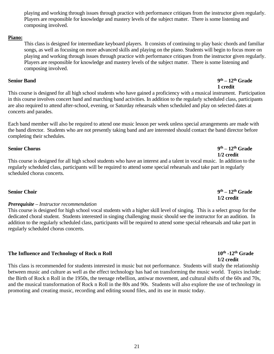921 playing and working through issues through practice with performance critiques from the instructor given regularly. Players are responsible for knowledge and mastery levels of the subject matter. There is some listening and composing involved.

#### Piano:

926 This class is designed for intermediate keyboard players. It consists of continuing to play basic chords and familiar songs, as well as focusing on more advanced skills and playing on the piano. Students will begin to focus more on 928 playing and working through issues through practice with performance critiques from the instructor given regularly. Players are responsible for knowledge and mastery levels of the subject matter. There is some listening and composing involved.

#### **Senior Band**

934 This course is designed for all high school students who have gained a proficiency with a musical instrument. Participation 935 in this course involves concert band and marching band activities. In addition to the regularly scheduled class, participants are also required to attend after-school, evening, or Saturday rehearsals when scheduled and play on selected dates at concerts and parades.

Each band member will also be required to attend one music lesson per week unless special arrangements are made with the band director. Students who are not presently taking band and are interested should contact the band director before completing their schedules.

#### **Senior Chorus**

944 **1/2 credit** This course is designed for all high school students who have an interest and a talent in vocal music. In addition to the regularly scheduled class, participants will be required to attend some special rehearsals and take part in regularly scheduled chorus concerts.

#### **Senior Choir**

#### **Prerequisite –** *Instructor recommendation*

This course is designed for high school vocal students with a higher skill level of singing. This is a select group for the dedicated choral student. Students interested in singing challenging music should see the instructor for an audition. In addition to the regularly scheduled class, participants will be required to attend some special rehearsals and take part in regularly scheduled chorus concerts.

#### **The Influence and Technology of Rock n Roll <b>10<sup>th</sup>** -12<sup>th</sup> Grade

961 **1/2 credit** This class is recommended for students interested in music but not performance. Students will study the relationship between music and culture as well as the effect technology has had on transforming the music world. Topics include: 964 the Birth of Rock n Roll in the 1950s, the teenage rebellion, antiwar movement, and cultural shifts of the 60s and 70s, and the musical transformation of Rock n Roll in the 80s and 90s. Students will also explore the use of technology in 966 promoting and creating music, recording and editing sound files, and its use in music today.

#### **th – 12** 950 **th Grade** 951 **1/2 credit**

#### **th – 12** 932 **th Grade** 933 **1 credit**

## **th – 12** 943 **th Grade**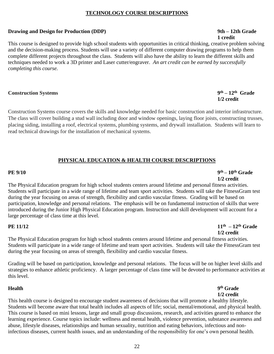#### 975 **TECHNOLOGY COURSE DESCRIPTIONS**

#### **Drawing and Design for Production (DDP)** 9th – 12th Grade

979 **1 credit** This course is designed to provide high school students with opportunities in critical thinking, creative problem solving and the decision-making process. Students will use a variety of different computer drawing programs to help them complete different projects throughout the class. Students will also have the ability to learn the different skills and 983 techniques needed to work a 3D printer and Laser cutter/engraver. *An art credit can be earned by successfully*   $completing this course.$ 

#### **construction** Systems **9<sup>th</sup>** – 12<sup>th</sup> Grade

Construction Systems course covers the skills and knowledge needed for basic construction and interior infrastructure. The class will cover building a stud wall including door and window openings, laying floor joists, constructing trusses, placing siding, installing a roof, electrical systems, plumbing systems, and drywall installation. Students will learn to read technical drawings for the installation of mechanical systems.

### 998 **PHYSICAL EDUCATION & HEALTH COURSE DESCRIPTIONS**

#### **PE 9/10 9**

 $1/2$  credit The Physical Education program for high school students centers around lifetime and personal fitness activities. Students will participate in a wide range of lifetime and team sport activities. Students will take the FitnessGram test during the year focusing on areas of strength, flexibility and cardio vascular fitness. Grading will be based on participation, knowledge and personal relations. The emphasis will be on fundamental instruction of skills that were introduced during the Junior High Physical Education program. Instruction and skill development will account for a large percentage of class time at this level.

#### **PE 11/12 11**

**the**  $11/12$  **th**  $-12^{th}$  Grade  $1/2$  credit

The Physical Education program for high school students centers around lifetime and personal fitness activities. Students will participate in a wide range of lifetime and team sport activities. Students will take the FitnessGram test during the year focusing on areas of strength, flexibility and cardio vascular fitness.

Grading will be based on participation, knowledge and personal relations. The focus will be on higher level skills and strategies to enhance athletic proficiency. A larger percentage of class time will be devoted to performance activities at this level.

## **Health 9<sup>th</sup> Grade**

### $1/2$  credit

This health course is designed to encourage student awareness of decisions that will promote a healthy lifestyle. Students will become aware that total health includes all aspects of life; social, mental/emotional, and physical health. This course is based on mini lessons, large and small group discussions, research, and activities geared to enhance the learning experience. Course topics include: wellness and mental health, violence prevention, substance awareness and abuse, lifestyle diseases, relationships and human sexuality, nutrition and eating behaviors, infectious and noninfectious diseases, current health issues, and an understanding of the responsibility for one's own personal health.

## 989 **1/2 credit**

## **the PE 9/10 o**  $9^{\text{th}} - 10^{\text{th}}$  Grade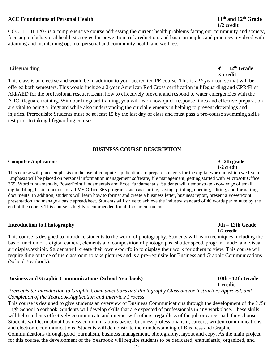## 23

### **ACE Foundations of Personal Health 11<sup>th</sup> <b>11<sup>th</sup> 11<sup>th</sup> and 12<sup>th</sup> Grade**

CCC HLTH 1207 is a comprehensive course addressing the current health problems facing our community and society, focusing on behavioral health strategies for prevention; risk-reduction; and basic principles and practices involved with attaining and maintaining optimal personal and community health and wellness.

#### **Lifeguarding 9**

This class is an elective and would be in addition to your accredited PE course. This is a  $\frac{1}{2}$  year course that will be offered both semesters. This would include a 2-year American Red Cross certification in lifeguarding and CPR/First Aid/AED for the professional rescuer. Learn how to effectively prevent and respond to water emergencies with the ARC lifeguard training. With our lifeguard training, you will learn how quick response times and effective preparation are vital to being a lifeguard while also understanding the crucial elements in helping to prevent drownings and injuries. Prerequisite Students must be at least 15 by the last day of class and must pass a pre-course swimming skills test prior to taking lifeguarding courses.

### 1049 **BUSINESS COURSE DESCRIPTION**

#### 1051 **Computer Applications 9-12th grade**

1052 **1/2 credit** This course will place emphasis on the use of computer applications to prepare students for the digital world in which we live in. Emphasis will be placed on personal information management software, file management, getting started with Microsoft Office 1055 365, Word fundamentals, PowerPoint fundamentals and Excel fundamentals. Students will demonstrate knowledge of email, digital filing, basic functions of all MS Office 365 programs such as starting, saving, printing, opening, editing, and formatting documents. In addition, students will learn how to format and create a business letter, business report, present a PowerPoint presentation and manage a basic spreadsheet. Students will strive to achieve the industry standard of 40 words per minute by the end of the course. This course is highly recommended for all freshmen students.

#### 1062 **Introduction to Photography 9th – 12th Grade**

1063 **1/2 credit** This course is designed to introduce students to the world of photography. Students will learn techniques including the basic function of a digital camera, elements and composition of photographs, shutter speed, program mode, and visual art display/exhibit. Students will create their own e-portfolio to display their work for others to view. This course will require time outside of the classroom to take pictures and is a pre-requisite for Business and Graphic Communications (School Yearbook).

#### 1071 **Business and Graphic Communications (School Yearbook) 10th - 12th Grade**

Prerequisite: Introduction to Graphic Communications and Photography Class and/or Instructors Approval, and **Completion of the Yearbook Application and Interview Process** 

This course is designed to give students an overview of Business Communications through the development of the Jr/Sr High School Yearbook. Students will develop skills that are expected of professionals in any workplace. These skills will help students effectively communicate and interact with others, regardless of the job or career path they choose. Students will learn about business communications basics, business professionalism, careers, written communications, and electronic communications. Students will demonstrate their understanding of Business and Graphic Communications through good journalism, business management, photography, layout and copy. As the main project for this course, the development of the Yearbook will require students to be dedicated, enthusiastic, organized, and

### $9<sup>th</sup> - 12<sup>th</sup>$  Grade 1038 **½ credit**

## 1072 **1 credit**

## 1030 **1/2 credit**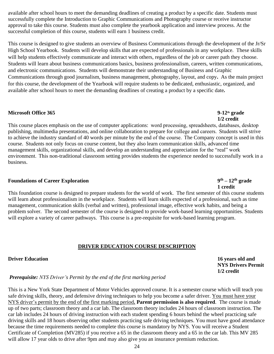available after school hours to meet the demanding deadlines of creating a product by a specific date. Students must successfully complete the Introduction to Graphic Communications and Photography course or receive instructor approval to take this course. Students must also complete the yearbook application and interview process. At the successful completion of this course, students will earn 1 business credit.

This course is designed to give students an overview of Business Communications through the development of the Jr/Sr High School Yearbook. Students will develop skills that are expected of professionals in any workplace. These skills will help students effectively communicate and interact with others, regardless of the job or career path they choose. Students will learn about business communications basics, business professionalism, careers, written communications, and electronic communications. Students will demonstrate their understanding of Business and Graphic 1092 Communications through good journalism, business management, photography, layout, and copy**.** As the main project for this course, the development of the Yearbook will require students to be dedicated, enthusiastic, organized, and available after school hours to meet the demanding deadlines of creating a product by a specific date.

#### **Microsoft Office 365 9-12<sup>th</sup> grade**

**1/2 credit** This course places emphasis on the use of computer applications: word processing, spreadsheets, databases, desktop publishing, multimedia presentations, and online collaboration to prepare for college and careers. Students will strive to achieve the industry standard of 40 words per minute by the end of the course. The Company concept is used in this course. Students not only focus on course content, but they also learn communication skills, advanced time management skills, organizational skills, and develop an understanding and appreciation for the "real" work environment. This non-traditional classroom setting provides students the experience needed to successfully work in a business.

#### **Foundations of Career Exploration 9<sup>th</sup> – 12<sup>th</sup> grade**

**1** credit This foundation course is designed to prepare students for the world of work. The first semester of this course students will learn about professionalism in the workplace. Students will learn skills expected of a professional, such as time management, communication skills (verbal and written), professional image, effective work habits, and being a problem solver. The second semester of the course is designed to provide work-based learning opportunities. Students will explore a variety of career pathways. This course is a pre-requisite for work-based learning program.

#### **DRIVER EDUCATION COURSE DESCRIPTION**

#### **16 Years old and 20 Years old and 20 Years old and 20 Years old and 30 Years old and 30 Years old and 30 Years old and 30 Years old and 30 Years old and 30 Years old and 30 Years old and 30 Years old and 30 Years old and**

**NYS Drivers Permit** 1122 **1/2 credit**

#### **Prerequisite:** *NYS Driver's Permit by the end of the first marking period*

This is a New York State Department of Motor Vehicles approved course. It is a semester course which will teach you safe driving skills, theory, and defensive driving techniques to help you become a safer driver. You must have your NYS driver's permit by the end of the first marking period. **Parent permission is also required**. The course is made up of two parts; classroom theory and a car lab. The classroom theory includes 24 hours of classroom instruction. The car lab includes 24 hours of driving instruction with each student spending 6 hours behind the wheel practicing safe driving skills and 18 hours observing other students practicing safe driving techniques. You must have good attendance because the time requirements needed to complete this course is mandatory by NYS. You will receive a Student Certificate of Completion (MV285) if you receive a 65 in the classroom theory and a 65 in the car lab. This MV 285 will allow 17 year olds to drive after 9pm and may also give you an insurance premium reduction.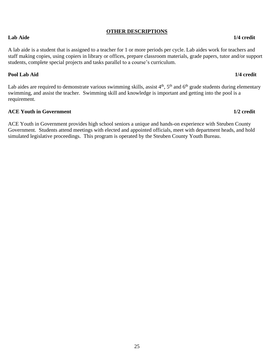### **OTHER DESCRIPTIONS**

#### A lab aide is a student that is assigned to a teacher for 1 or more periods per cycle. Lab aides work for teachers and staff making copies, using copiers in library or offices, prepare classroom materials, grade papers, tutor and/or support students, complete special projects and tasks parallel to a course's curriculum.

#### 1144 **Pool Lab Aid 1/4 credit**

Lab aides are required to demonstrate various swimming skills, assist  $4<sup>th</sup>$ ,  $5<sup>th</sup>$  and  $6<sup>th</sup>$  grade students during elementary swimming, and assist the teacher. Swimming skill and knowledge is important and getting into the pool is a requirement.

#### **ACE Youth in Government 1/2** credit

ACE Youth in Government provides high school seniors a unique and hands-on experience with Steuben County Government. Students attend meetings with elected and appointed officials, meet with department heads, and hold simulated legislative proceedings. This program is operated by the Steuben County Youth Bureau.

#### **Lab Aide 1/4 credit**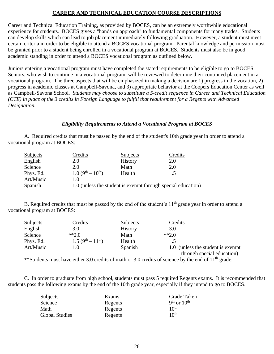#### 1157 **CAREER AND TECHNICAL EDUCATION COURSE DESCRIPTIONS**

Career and Technical Education Training, as provided by BOCES, can be an extremely worthwhile educational experience for students. BOCES gives a "hands on approach" to fundamental components for many trades. Students 1161 can develop skills which can lead to job placement immediately following graduation. However, a student must meet certain criteria in order to be eligible to attend a BOCES vocational program. Parental knowledge and permission must be granted prior to a student being enrolled in a vocational program at BOCES. Students must also be in good academic standing in order to attend a BOCES vocational program as outlined below.

Juniors entering a vocational program must have completed the stated requirements to be eligible to go to BOCES. Seniors, who wish to continue in a vocational program, will be reviewed to determine their continued placement in a vocational program. The three aspects that will be emphasized in making a decision are  $1$ ) progress in the vocation,  $2$ ) progress in academic classes at Campbell-Savona, and 3) appropriate behavior at the Coopers Education Center as well as Campbell-Savona School. *Students may choose to substitute a 5-credit sequence in Career and Technical Education* 1171 *(CTE) in place of the 3 credits in Foreign Language to fulfill that requirement for a Regents with Advanced*  **Designation.** 

#### *Eligibility Requirements to Attend a Vocational Program at BOCES*

A. Required credits that must be passed by the end of the student's 10th grade year in order to attend a vocational program at BOCES:

| Subjects  | Credits                             | Subjects       | Credits                                                      |
|-----------|-------------------------------------|----------------|--------------------------------------------------------------|
| English   | 2.0                                 | <b>History</b> | 2.0                                                          |
| Science   | 2.0                                 | Math           | 2.0                                                          |
| Phys. Ed. | $1.0(9^{\text{th}}-10^{\text{th}})$ | Health         |                                                              |
| Art/Music | 1.0                                 |                |                                                              |
| Spanish   |                                     |                | 1.0 (unless the student is exempt through special education) |
|           |                                     |                |                                                              |

B. Required credits that must be passed by the end of the student's  $11<sup>th</sup>$  grade year in order to attend a vocational program at BOCES:

| <b>Subjects</b> | Credits                             | <b>Subjects</b> | Credits                            |
|-----------------|-------------------------------------|-----------------|------------------------------------|
| English         | 3.0                                 | History         | 3.0                                |
| Science         | $*2.0$                              | Math            | $*2.0$                             |
| Phys. Ed.       | $1.5(9^{\text{th}}-11^{\text{th}})$ | Health          |                                    |
| Art/Music       | 1.0                                 | Spanish         | 1.0 (unless the student is exempt) |
|                 |                                     |                 | through special education)         |

\*\*Students must have either 3.0 credits of math or 3.0 credits of science by the end of  $11<sup>th</sup>$  grade.

C. In order to graduate from high school, students must pass 5 required Regents exams. It is recommended that students pass the following exams by the end of the 10th grade year, especially if they intend to go to BOCES.

| <b>Subjects</b>       | Exams   | Grade Taken      |
|-----------------------|---------|------------------|
| Science               | Regents | $9th$ or $10th$  |
| Math                  | Regents | $10^{th}$        |
| <b>Global Studies</b> | Regents | 10 <sup>th</sup> |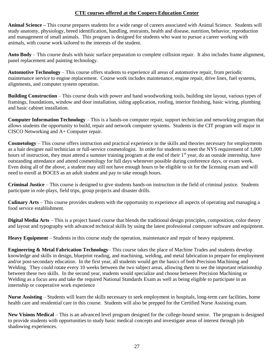#### **CTE courses offered at the Coopers Education Center**

**Animal Science –** This course prepares students for a wide range of careers associated with Animal Science. Students will study anatomy, physiology, breed identification, handling, restraints, health and disease, nutrition, behavior, reproduction and management of small animals. This program is designed for students who want to pursue a career working with animals, with course work tailored to the interests of the student.

**Auto** Body – This course deals with basic surface preparation to complete collision repair. It also includes frame alignment, panel replacement and painting technology.

**Automotive Technology** – This course offers students to experience all areas of automotive repair, from periodic maintenance service to engine replacement. Course work includes maintenance, engine repair, drive lines, fuel systems, alignments, and computer system operation.

**Building Construction** – This course deals with power and hand woodworking tools, building site layout, various types of framings, foundations, window and door installation, siding application, roofing, interior finishing, basic wiring, plumbing and basic cabinet installation.

**Computer Information Technology** – This is a hands-on computer repair, support technician and networking program that allows students the opportunity to build, repair and network computer systems. Students in the CIT program will major in CISCO Networking and A+ Computer repair.

**Cosmetology** – This course offers instruction and practical experience in the skills and theories necessary for employments as a hair designer nail technician or full-service cosmetologist. In order for students to meet the NYS requirement of 1,000 hours of instruction, they must attend a summer training program at the end of their 1<sup>st</sup> year, do an outside internship, have outstanding attendance and attend cosmetology for full days whenever possible during conference days, or exam week. Even doing all of the above, a student may still not have enough hours to be eligible to sit for the licensing exam and will need to enroll at BOCES as an adult student and pay to take enough hours.

**Criminal Justice** – This course is designed to give students hands-on instruction in the field of criminal justice. Students participate in role-plays, field trips, group projects and disaster drills.

1243 **Culinary Arts** – This course provides students with the opportunity to experience all aspects of operating and managing a food service establishment.

**Digital Media Arts** – This is a project based course that blends the traditional design principles, composition, color theory and layout and typography with advanced technical skills by using the latest professional computer software and equipment.

**Heavy Equipment** – Students in this course study the operation, maintenance and repair of heavy equipment.

**Engineering & Metal Fabrication Technology–** This course takes the place of Machine Trades and students develop knowledge and skills in design, blueprint reading, and machining, welding, and metal fabrication to prepare for employment and/or post-secondary education. In the first year, all students would get the basics of both Precision Machining and Welding. They could rotate every 10 weeks between the two subject areas, allowing them to see the important relationship between these two skills. In the second year, students would specialize and choose between Precision Machining or Welding as a focus area and take the required National Standards Exam as well as being eligible to participate in an internship or cooperative work experience

**Nurse Assisting** – Students will learn the skills necessary to seek employment in hospitals, long-term care facilities, home health care and residential care in this course. Students will also be prepped for the Certified Nurse Assisting exam.

New Visions Medical – This is an advanced level program designed for the college-bound senior. The program is designed to provide students with opportunities to study basic medical concepts and investigate areas of interest through job shadowing experiences.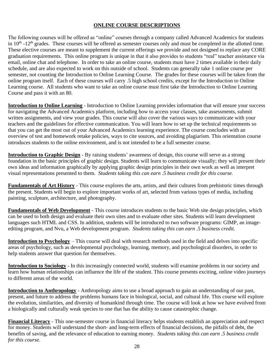### **ONLINE COURSE DESCRIPTIONS**

The following courses will be offered as "online" courses through a company called Advanced Academics for students in  $10<sup>th</sup>$  -12<sup>th</sup> grades. These courses will be offered as semester courses only and must be completed in the allotted time. These elective courses are meant to supplement the current offerings we provide and not designed to replace any CORE graduation requirements. This online program is unique in that it also provides to students "real" teacher assistance via email, online chat and telephone. In order to take an online course, students must have 2 times available in their daily schedule, and are also expected to work on this outside of school. Students can generally take 1 online course per semester, not counting the Introduction to Online Learning Course. The grades for these courses will be taken from the online program itself. Each of these courses will carry .5 high school credits, except for the Introduction to Online Learning course. All students who want to take an online course must first take the Introduction to Online Learning Course and pass it with an 80.

**Introduction to Online Learning** - Introduction to Online Learning provides information that will ensure your success for navigating the Advanced Academics platform, including how to access your classes, take assessments, submit written assignments, and view your grades. This course will also cover the various ways to communicate with your teachers and the guidelines for effective communication. You will learn how to set up the technical requirements so that you can get the most out of your Advanced Academics learning experience. The course concludes with an overview of test and homework retake policies, ways to cite sources, and avoiding plagiarism. This orientation course introduces students to the online environment, and is not intended to be a full semester course.

**Introduction to Graphic Design** - By raising students' awareness of design, this course will serve as a strong foundation in the basic principles of graphic design. Students will learn to communicate visually; they will present their own ideas and information graphically by applying graphic design principles in their own work as well as interpret 1293 visual representations presented to them. *Students taking this can earn .5 business credit for this course.*

**Fundamentals of Art History** - This course explores the arts, artists, and their cultures from prehistoric times through the present. Students will begin to explore important works of art, selected from various types of media, including painting, sculpture, architecture, and photography.

**Fundamentals of Web Development** - This course introduces students to the basic Web site design principles, which can be used to both design and evaluate their own sites and to evaluate other sites. Students will learn development languages such HTML and CSS. In addition, students will be introduced to two software programs: GIMP, an image-1302 editing program, and Nvu, a Web development program. *Students taking this can earn .5 business credit.*

**Introduction to Psychology** – This course will deal with research methods used in the field and delves into specific areas of psychology, such as developmental psychology, learning, memory, and psychological disorders, in order to help students answer that question for themselves.

**Introduction to Sociology** - In this increasingly connected world, students will examine problems in our society and learn how human relationships can influence the life of the student. This course presents exciting, online video journeys to different areas of the world.

**Introduction to Anthropology** - Anthropology aims to use a broad approach to gain an understanding of our past, present, and future to address the problems humans face in biological, social, and cultural life. This course will explore the evolution, similarities, and diversity of humankind through time. The course will look at how we have evolved from a biologically and culturally weak species to one that has the ability to cause catastrophic change.

**Financial Literacy** - This one-semester course in financial literacy helps students establish an appreciation and respect for money. Students will understand the short- and long-term effects of financial decisions, the pitfalls of debt, the 1319 benefits of saving, and the relevance of education to earning money. *Students taking this can earn .5 business credit*  for this course.